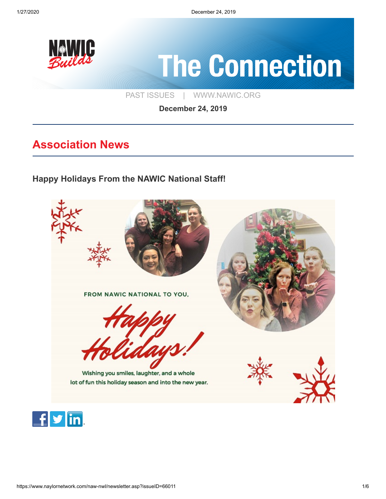

[PAST ISSUES](https://www.naylornetwork.com/naw-nwl/index.asp) | [WWW.NAWIC.ORG](https://www.nawic.org/nawic/default.asp)

**December 24, 2019**

# **Association News**

**[Happy Holidays From the NAWIC National Staff!](https://www.naylornetwork.com/naw-nwl/articles/index.asp?aid=595393&issueID=66011)**



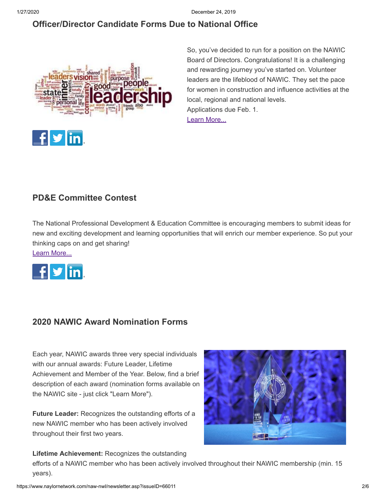## **[Officer/Director Candidate Forms Due to National Office](https://www.nawic.org/NewsBot.asp?MODE=VIEW&ID=379)**



So, you've decided to run for a position on the NAWIC Board of Directors. Congratulations! It is a challenging and rewarding journey you've started on. Volunteer leaders are the lifeblood of NAWIC. They set the pace for women in construction and influence activities at the local, regional and national levels. Applications due Feb. 1. [Learn More...](https://www.nawic.org/NewsBot.asp?MODE=VIEW&ID=379)

## **[PD&E Committee Contest](https://www.naylornetwork.com/naw-nwl/pdf/NAWIC_PD&E_Poster_(2).pdf)**

The National Professional Development & Education Committee is encouraging members to submit ideas for new and exciting development and learning opportunities that will enrich our member experience. So put your thinking caps on and get sharing!

[Learn More...](https://www.naylornetwork.com/naw-nwl/pdf/NAWIC_PD&E_Poster_(2).pdf)



## **[2020 NAWIC Award Nomination Forms](https://www.naylornetwork.com/naw-nwl/articles/index.asp?aid=595397&issueID=66011)**

Each year, NAWIC awards three very special individuals with our annual awards: Future Leader, Lifetime Achievement and Member of the Year. Below, find a brief description of each award (nomination forms available on the NAWIC site - just click "Learn More").

**Future Leader:** Recognizes the outstanding efforts of a new NAWIC member who has been actively involved throughout their first two years.



**Lifetime Achievement:** Recognizes the outstanding

efforts of a NAWIC member who has been actively involved throughout their NAWIC membership (min. 15 years).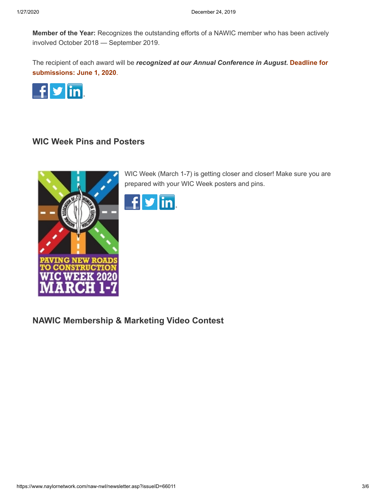**Member of the Year:** Recognizes the outstanding efforts of a NAWIC member who has been actively involved October 2018 — September 2019.

The recipient of each award will be *recognized at our Annual Conference in August***. Deadline for submissions: June 1, 2020**.



## **[WIC Week Pins and Posters](https://www.naylornetwork.com/naw-nwl/articles/index.asp?aid=595398&issueID=66011)**



WIC Week (March 1-7) is getting closer and closer! Make sure you are prepared with your WIC Week posters and pins.



**[NAWIC Membership & Marketing Video Contest](https://www.naylornetwork.com/naw-nwl/articles/index.asp?aid=595399&issueID=66011)**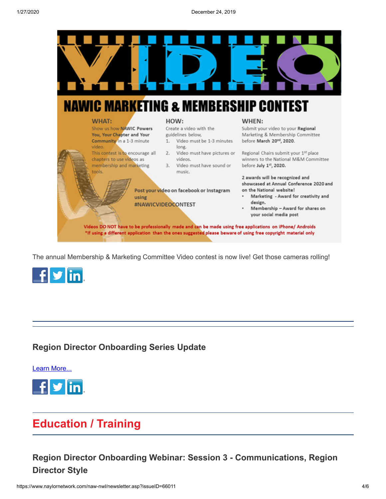

The annual Membership & Marketing Committee Video contest is now live! Get those cameras rolling!



## **[Region Director Onboarding Series Update](https://www.naylornetwork.com/naw-nwl/pdf/20191218_Region_Director_Onboarding_Series_Update_(002).pdf)**

[Learn More...](https://www.naylornetwork.com/naw-nwl/pdf/20191218_Region_Director_Onboarding_Series_Update_(002).pdf)



# **Education / Training**

## **[Region Director Onboarding Webinar: Session 3 - Communications, Region](https://www.naylornetwork.com/naw-nwl/pdf/Region_Director_Onboarding_Jan_8.pdf) Director Style**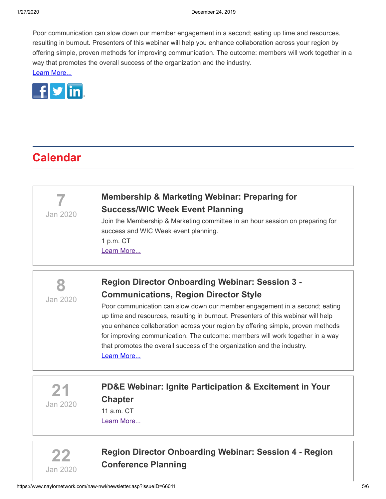Poor communication can slow down our member engagement in a second; eating up time and resources, resulting in burnout. Presenters of this webinar will help you enhance collaboration across your region by offering simple, proven methods for improving communication. The outcome: members will work together in a way that promotes the overall success of the organization and the industry. [Learn More...](https://www.naylornetwork.com/naw-nwl/pdf/Region_Director_Onboarding_Jan_8.pdf)



# **Calendar**

**7**

Jan 2020

# **[Membership & Marketing Webinar: Preparing for](https://www.nawic.org/nawic/Webinars.asp) Success/WIC Week Event Planning**

Join the Membership & Marketing committee in an hour session on preparing for success and WIC Week event planning. 1 p.m. CT [Learn More...](https://www.nawic.org/nawic/Webinars.asp)



# **[Region Director Onboarding Webinar: Session 3 -](https://www.naylornetwork.com/naw-nwl/pdf/Region_Director_Onboarding_Jan_8.pdf) Communications, Region Director Style**

Poor communication can slow down our member engagement in a second; eating up time and resources, resulting in burnout. Presenters of this webinar will help you enhance collaboration across your region by offering simple, proven methods for improving communication. The outcome: members will work together in a way that promotes the overall success of the organization and the industry. [Learn More...](https://www.naylornetwork.com/naw-nwl/pdf/Region_Director_Onboarding_Jan_8.pdf)

**21** Jan 2020

## **[PD&E Webinar: Ignite Participation & Excitement in Your](https://www.nawic.org/nawic/Webinars.asp) Chapter** 11 a.m. CT

[Learn More...](https://www.nawic.org/nawic/Webinars.asp)



**[Region Director Onboarding Webinar: Session 4 - Region](https://www.nawic.org/nawic/Webinars.asp) Conference Planning**